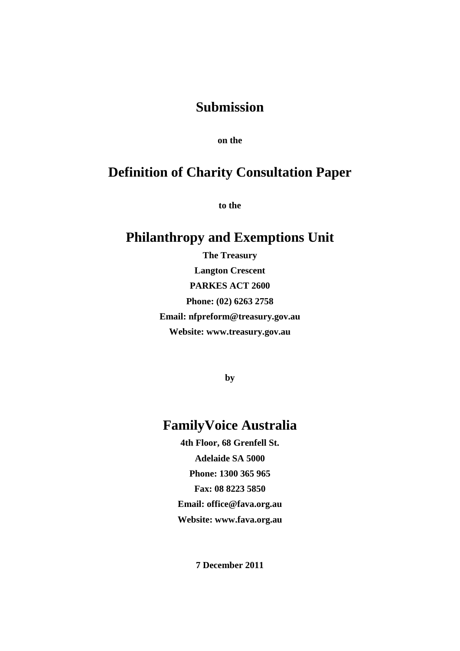### **Submission**

**on the** 

# **Definition of Charity Consultation Paper**

**to the** 

# **Philanthropy and Exemptions Unit**

**The Treasury Langton Crescent PARKES ACT 2600 Phone: (02) 6263 2758 Email: nfpreform@treasury.gov.au Website: www.treasury.gov.au**

**by** 

# **FamilyVoice Australia**

**4th Floor, 68 Grenfell St. Adelaide SA 5000 Phone: 1300 365 965 Fax: 08 8223 5850 Email: office@fava.org.au Website: www.fava.org.au**

**7 December 2011**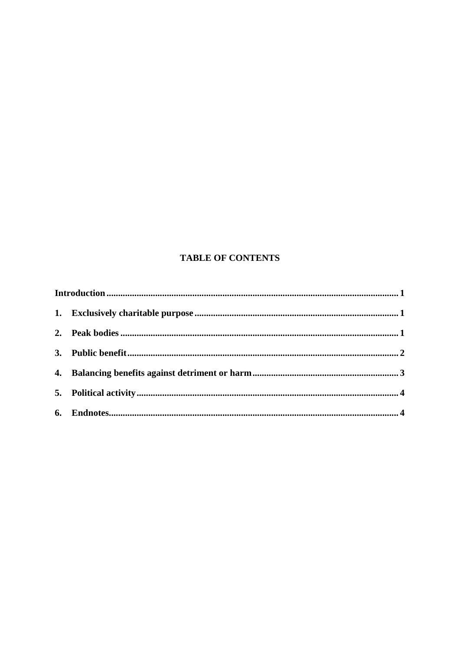### **TABLE OF CONTENTS**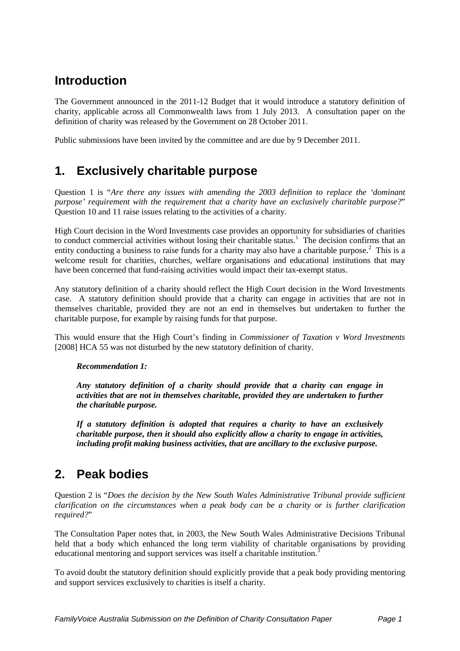# <span id="page-2-0"></span>**Introduction**

The Government announced in the 2011-12 Budget that it would introduce a statutory definition of charity, applicable across all Commonwealth laws from 1 July 2013. A consultation paper on the definition of charity was released by the Government on 28 October 2011.

<span id="page-2-1"></span>Public submissions have been invited by the committee and are due by 9 December 2011.

## **1. Exclusively charitable purpose**

Question 1 is "*Are there any issues with amending the 2003 definition to replace the 'dominant purpose' requirement with the requirement that a charity have an exclusively charitable purpose?*" Question 10 and 11 raise issues relating to the activities of a charity.

High Court decision in the Word Investments case provides an opportunity for subsidiaries of charities to conduct commercial activities without losing their charitable status.<sup>[1](#page-5-2)</sup> The decision confirms that an entity conducting a business to raise funds for a charity may also have a charitable purpose.<sup>[2](#page-5-3)</sup> This is a welcome result for charities, churches, welfare organisations and educational institutions that may have been concerned that fund-raising activities would impact their tax-exempt status.

Any statutory definition of a charity should reflect the High Court decision in the Word Investments case. A statutory definition should provide that a charity can engage in activities that are not in themselves charitable, provided they are not an end in themselves but undertaken to further the charitable purpose, for example by raising funds for that purpose.

This would ensure that the High Court's finding in *Commissioner of Taxation v Word Investments* [2008] HCA 55 was not disturbed by the new statutory definition of charity.

#### *Recommendation 1:*

*Any statutory definition of a charity should provide that a charity can engage in activities that are not in themselves charitable, provided they are undertaken to further the charitable purpose.*

*If a statutory definition is adopted that requires a charity to have an exclusively charitable purpose, then it should also explicitly allow a charity to engage in activities, including profit making business activities, that are ancillary to the exclusive purpose.*

### <span id="page-2-2"></span>**2. Peak bodies**

Question 2 is "*Does the decision by the New South Wales Administrative Tribunal provide sufficient clarification on the circumstances when a peak body can be a charity or is further clarification required?*"

The Consultation Paper notes that, in 2003, the New South Wales Administrative Decisions Tribunal held that a body which enhanced the long term viability of charitable organisations by providing educational mentoring and support services was itself a charitable institution.<sup>[3](#page-5-4)</sup>

To avoid doubt the statutory definition should explicitly provide that a peak body providing mentoring and support services exclusively to charities is itself a charity.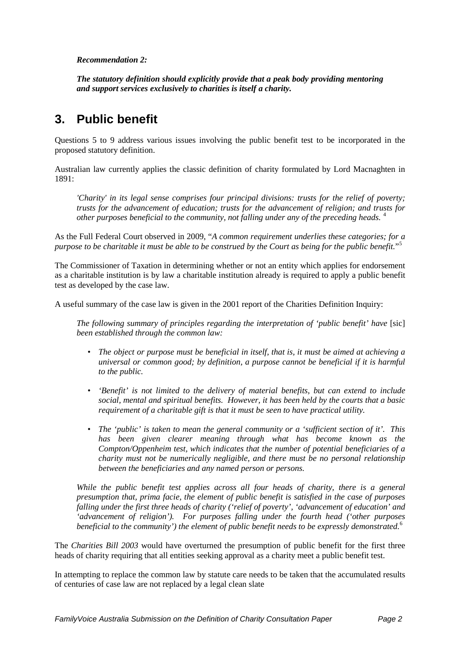#### *Recommendation 2:*

*The statutory definition should explicitly provide that a peak body providing mentoring and support services exclusively to charities is itself a charity.*

### <span id="page-3-0"></span>**3. Public benefit**

Questions 5 to 9 address various issues involving the public benefit test to be incorporated in the proposed statutory definition.

Australian law currently applies the classic definition of charity formulated by Lord Macnaghten in 1891:

*'Charity' in its legal sense comprises four principal divisions: trusts for the relief of poverty; trusts for the advancement of education; trusts for the advancement of religion; and trusts for other purposes beneficial to the community, not falling under any of the preceding heads.* [4](#page-5-5)

As the Full Federal Court observed in 2009, "*A common requirement underlies these categories; for a purpose to be charitable it must be able to be construed by the Court as being for the public benefit.*"[5](#page-5-6)

The Commissioner of Taxation in determining whether or not an entity which applies for endorsement as a charitable institution is by law a charitable institution already is required to apply a public benefit test as developed by the case law.

A useful summary of the case law is given in the 2001 report of the Charities Definition Inquiry:

*The following summary of principles regarding the interpretation of 'public benefit' have* [sic] *been established through the common law:*

- *The object or purpose must be beneficial in itself, that is, it must be aimed at achieving a universal or common good; by definition, a purpose cannot be beneficial if it is harmful to the public.*
- *'Benefit' is not limited to the delivery of material benefits, but can extend to include social, mental and spiritual benefits. However, it has been held by the courts that a basic requirement of a charitable gift is that it must be seen to have practical utility.*
- *The 'public' is taken to mean the general community or a 'sufficient section of it'. This has been given clearer meaning through what has become known as the Compton/Oppenheim test, which indicates that the number of potential beneficiaries of a charity must not be numerically negligible, and there must be no personal relationship between the beneficiaries and any named person or persons.*

*While the public benefit test applies across all four heads of charity, there is a general presumption that, prima facie, the element of public benefit is satisfied in the case of purposes falling under the first three heads of charity ('relief of poverty', 'advancement of education' and 'advancement of religion'). For purposes falling under the fourth head ('other purposes beneficial to the community') the element of public benefit needs to be expressly demonstrated.*[6](#page-5-7)

The *Charities Bill 2003* would have overturned the presumption of public benefit for the first three heads of charity requiring that all entities seeking approval as a charity meet a public benefit test.

In attempting to replace the common law by statute care needs to be taken that the accumulated results of centuries of case law are not replaced by a legal clean slate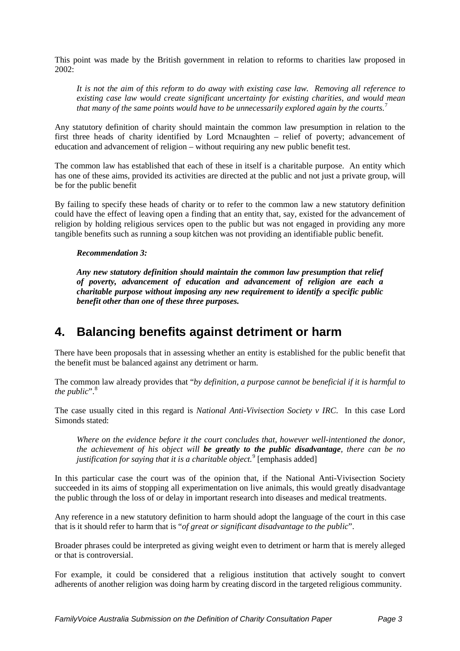This point was made by the British government in relation to reforms to charities law proposed in 2002:

*It is not the aim of this reform to do away with existing case law. Removing all reference to existing case law would create significant uncertainty for existing charities, and would mean that many of the same points would have to be unnecessarily explored again by the courts.*[7](#page-5-8)

Any statutory definition of charity should maintain the common law presumption in relation to the first three heads of charity identified by Lord Mcnaughten – relief of poverty; advancement of education and advancement of religion – without requiring any new public benefit test.

The common law has established that each of these in itself is a charitable purpose. An entity which has one of these aims, provided its activities are directed at the public and not just a private group, will be for the public benefit

By failing to specify these heads of charity or to refer to the common law a new statutory definition could have the effect of leaving open a finding that an entity that, say, existed for the advancement of religion by holding religious services open to the public but was not engaged in providing any more tangible benefits such as running a soup kitchen was not providing an identifiable public benefit.

#### *Recommendation 3:*

*Any new statutory definition should maintain the common law presumption that relief of poverty, advancement of education and advancement of religion are each a charitable purpose without imposing any new requirement to identify a specific public benefit other than one of these three purposes.* 

### <span id="page-4-0"></span>**4. Balancing benefits against detriment or harm**

There have been proposals that in assessing whether an entity is established for the public benefit that the benefit must be balanced against any detriment or harm.

The common law already provides that "*by definition, a purpose cannot be beneficial if it is harmful to the public*". [8](#page-5-9)

The case usually cited in this regard is *National Anti-Vivisection Society v IRC*. In this case Lord Simonds stated:

*Where on the evidence before it the court concludes that, however well-intentioned the donor, the achievement of his object will be greatly to the public disadvantage, there can be no*  justification for saying that it is a charitable object.<sup>[9](#page-5-10)</sup> [emphasis added]

In this particular case the court was of the opinion that, if the National Anti-Vivisection Society succeeded in its aims of stopping all experimentation on live animals, this would greatly disadvantage the public through the loss of or delay in important research into diseases and medical treatments.

Any reference in a new statutory definition to harm should adopt the language of the court in this case that is it should refer to harm that is "*of great or significant disadvantage to the public*".

Broader phrases could be interpreted as giving weight even to detriment or harm that is merely alleged or that is controversial.

For example, it could be considered that a religious institution that actively sought to convert adherents of another religion was doing harm by creating discord in the targeted religious community.